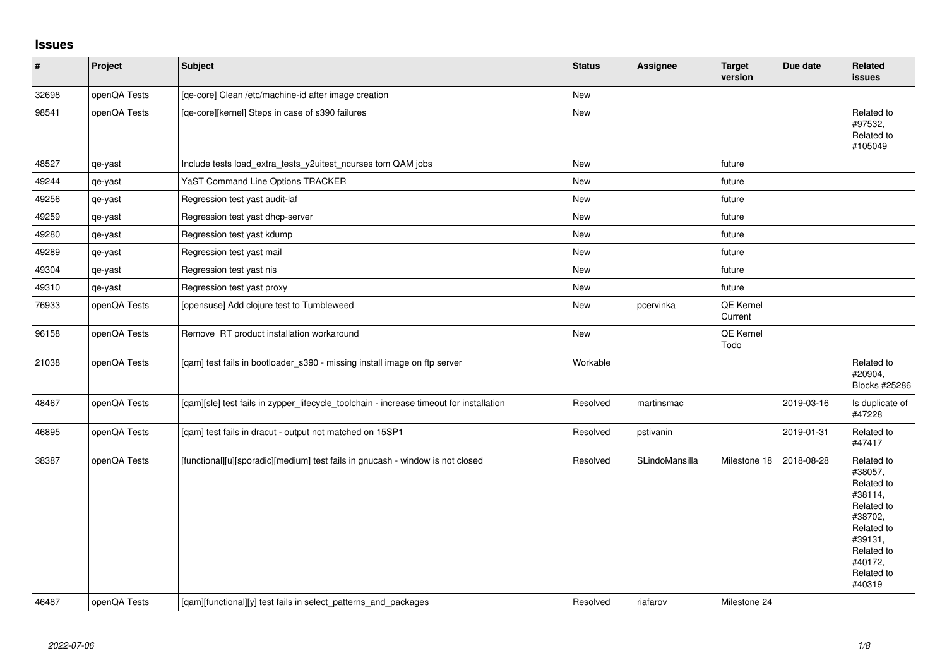## **Issues**

| $\vert$ # | Project      | <b>Subject</b>                                                                          | <b>Status</b> | <b>Assignee</b> | <b>Target</b><br>version | Due date   | Related<br>issues                                                                                                                                 |
|-----------|--------------|-----------------------------------------------------------------------------------------|---------------|-----------------|--------------------------|------------|---------------------------------------------------------------------------------------------------------------------------------------------------|
| 32698     | openQA Tests | [qe-core] Clean /etc/machine-id after image creation                                    | New           |                 |                          |            |                                                                                                                                                   |
| 98541     | openQA Tests | [qe-core][kernel] Steps in case of s390 failures                                        | New           |                 |                          |            | Related to<br>#97532,<br>Related to<br>#105049                                                                                                    |
| 48527     | qe-yast      | Include tests load_extra_tests_y2uitest_ncurses tom QAM jobs                            | <b>New</b>    |                 | future                   |            |                                                                                                                                                   |
| 49244     | qe-yast      | YaST Command Line Options TRACKER                                                       | New           |                 | future                   |            |                                                                                                                                                   |
| 49256     | qe-yast      | Regression test yast audit-laf                                                          | New           |                 | future                   |            |                                                                                                                                                   |
| 49259     | qe-yast      | Regression test yast dhcp-server                                                        | New           |                 | future                   |            |                                                                                                                                                   |
| 49280     | qe-yast      | Regression test yast kdump                                                              | New           |                 | future                   |            |                                                                                                                                                   |
| 49289     | qe-yast      | Regression test yast mail                                                               | New           |                 | future                   |            |                                                                                                                                                   |
| 49304     | qe-yast      | Regression test yast nis                                                                | New           |                 | future                   |            |                                                                                                                                                   |
| 49310     | qe-yast      | Regression test yast proxy                                                              | New           |                 | future                   |            |                                                                                                                                                   |
| 76933     | openQA Tests | [opensuse] Add clojure test to Tumbleweed                                               | New           | pcervinka       | QE Kernel<br>Current     |            |                                                                                                                                                   |
| 96158     | openQA Tests | Remove RT product installation workaround                                               | New           |                 | QE Kernel<br>Todo        |            |                                                                                                                                                   |
| 21038     | openQA Tests | [qam] test fails in bootloader_s390 - missing install image on ftp server               | Workable      |                 |                          |            | Related to<br>#20904,<br>Blocks #25286                                                                                                            |
| 48467     | openQA Tests | [qam][sle] test fails in zypper_lifecycle_toolchain - increase timeout for installation | Resolved      | martinsmac      |                          | 2019-03-16 | Is duplicate of<br>#47228                                                                                                                         |
| 46895     | openQA Tests | [qam] test fails in dracut - output not matched on 15SP1                                | Resolved      | pstivanin       |                          | 2019-01-31 | Related to<br>#47417                                                                                                                              |
| 38387     | openQA Tests | [functional][u][sporadic][medium] test fails in gnucash - window is not closed          | Resolved      | SLindoMansilla  | Milestone 18             | 2018-08-28 | Related to<br>#38057,<br>Related to<br>#38114,<br>Related to<br>#38702.<br>Related to<br>#39131,<br>Related to<br>#40172,<br>Related to<br>#40319 |
| 46487     | openQA Tests | [gam][functional][y] test fails in select patterns and packages                         | Resolved      | riafarov        | Milestone 24             |            |                                                                                                                                                   |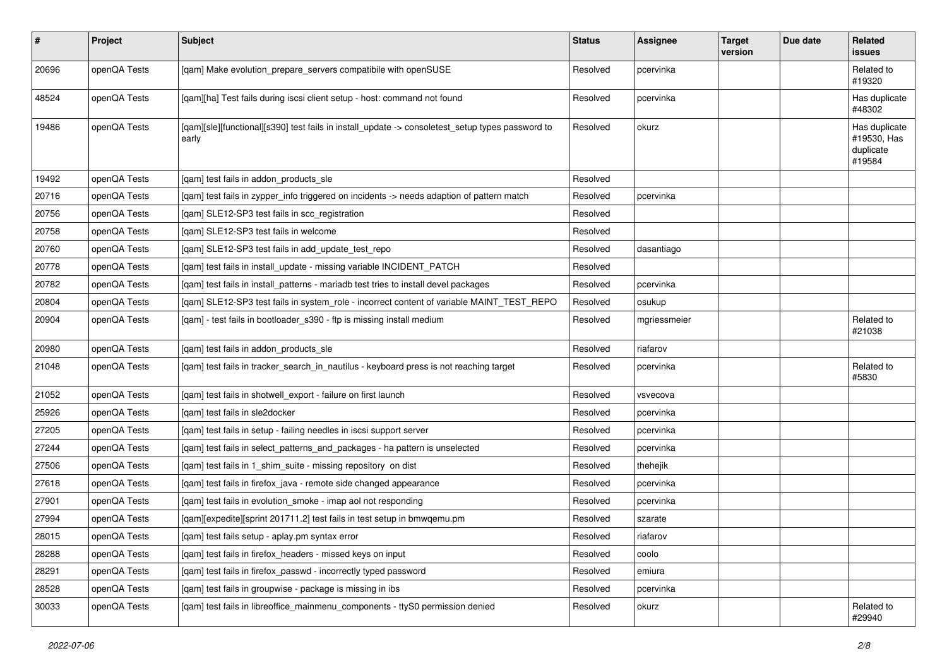| #     | Project      | <b>Subject</b>                                                                                            | <b>Status</b> | Assignee     | <b>Target</b><br>version | Due date | <b>Related</b><br>issues                            |
|-------|--------------|-----------------------------------------------------------------------------------------------------------|---------------|--------------|--------------------------|----------|-----------------------------------------------------|
| 20696 | openQA Tests | [qam] Make evolution_prepare_servers compatibile with openSUSE                                            | Resolved      | pcervinka    |                          |          | Related to<br>#19320                                |
| 48524 | openQA Tests | [qam][ha] Test fails during iscsi client setup - host: command not found                                  | Resolved      | pcervinka    |                          |          | Has duplicate<br>#48302                             |
| 19486 | openQA Tests | [qam][sle][functional][s390] test fails in install_update -> consoletest_setup types password to<br>early | Resolved      | okurz        |                          |          | Has duplicate<br>#19530, Has<br>duplicate<br>#19584 |
| 19492 | openQA Tests | [qam] test fails in addon_products_sle                                                                    | Resolved      |              |                          |          |                                                     |
| 20716 | openQA Tests | [qam] test fails in zypper_info triggered on incidents -> needs adaption of pattern match                 | Resolved      | pcervinka    |                          |          |                                                     |
| 20756 | openQA Tests | [qam] SLE12-SP3 test fails in scc_registration                                                            | Resolved      |              |                          |          |                                                     |
| 20758 | openQA Tests | [qam] SLE12-SP3 test fails in welcome                                                                     | Resolved      |              |                          |          |                                                     |
| 20760 | openQA Tests | [gam] SLE12-SP3 test fails in add update test repo                                                        | Resolved      | dasantiago   |                          |          |                                                     |
| 20778 | openQA Tests | [gam] test fails in install update - missing variable INCIDENT PATCH                                      | Resolved      |              |                          |          |                                                     |
| 20782 | openQA Tests | [qam] test fails in install_patterns - mariadb test tries to install devel packages                       | Resolved      | pcervinka    |                          |          |                                                     |
| 20804 | openQA Tests | [qam] SLE12-SP3 test fails in system_role - incorrect content of variable MAINT_TEST_REPO                 | Resolved      | osukup       |                          |          |                                                     |
| 20904 | openQA Tests | [qam] - test fails in bootloader_s390 - ftp is missing install medium                                     | Resolved      | mgriessmeier |                          |          | Related to<br>#21038                                |
| 20980 | openQA Tests | [qam] test fails in addon_products_sle                                                                    | Resolved      | riafarov     |                          |          |                                                     |
| 21048 | openQA Tests | [qam] test fails in tracker_search_in_nautilus - keyboard press is not reaching target                    | Resolved      | pcervinka    |                          |          | Related to<br>#5830                                 |
| 21052 | openQA Tests | [qam] test fails in shotwell_export - failure on first launch                                             | Resolved      | vsvecova     |                          |          |                                                     |
| 25926 | openQA Tests | [qam] test fails in sle2docker                                                                            | Resolved      | pcervinka    |                          |          |                                                     |
| 27205 | openQA Tests | [qam] test fails in setup - failing needles in iscsi support server                                       | Resolved      | pcervinka    |                          |          |                                                     |
| 27244 | openQA Tests | [qam] test fails in select_patterns_and_packages - ha pattern is unselected                               | Resolved      | pcervinka    |                          |          |                                                     |
| 27506 | openQA Tests | [gam] test fails in 1 shim suite - missing repository on dist                                             | Resolved      | thehejik     |                          |          |                                                     |
| 27618 | openQA Tests | [qam] test fails in firefox_java - remote side changed appearance                                         | Resolved      | pcervinka    |                          |          |                                                     |
| 27901 | openQA Tests | [gam] test fails in evolution smoke - imap aol not responding                                             | Resolved      | pcervinka    |                          |          |                                                     |
| 27994 | openQA Tests | [qam][expedite][sprint 201711.2] test fails in test setup in bmwqemu.pm                                   | Resolved      | szarate      |                          |          |                                                     |
| 28015 | openQA Tests | [qam] test fails setup - aplay.pm syntax error                                                            | Resolved      | riafarov     |                          |          |                                                     |
| 28288 | openQA Tests | [gam] test fails in firefox headers - missed keys on input                                                | Resolved      | coolo        |                          |          |                                                     |
| 28291 | openQA Tests | [qam] test fails in firefox_passwd - incorrectly typed password                                           | Resolved      | emiura       |                          |          |                                                     |
| 28528 | openQA Tests | [gam] test fails in groupwise - package is missing in ibs                                                 | Resolved      | pcervinka    |                          |          |                                                     |
| 30033 | openQA Tests | [qam] test fails in libreoffice_mainmenu_components - ttyS0 permission denied                             | Resolved      | okurz        |                          |          | Related to<br>#29940                                |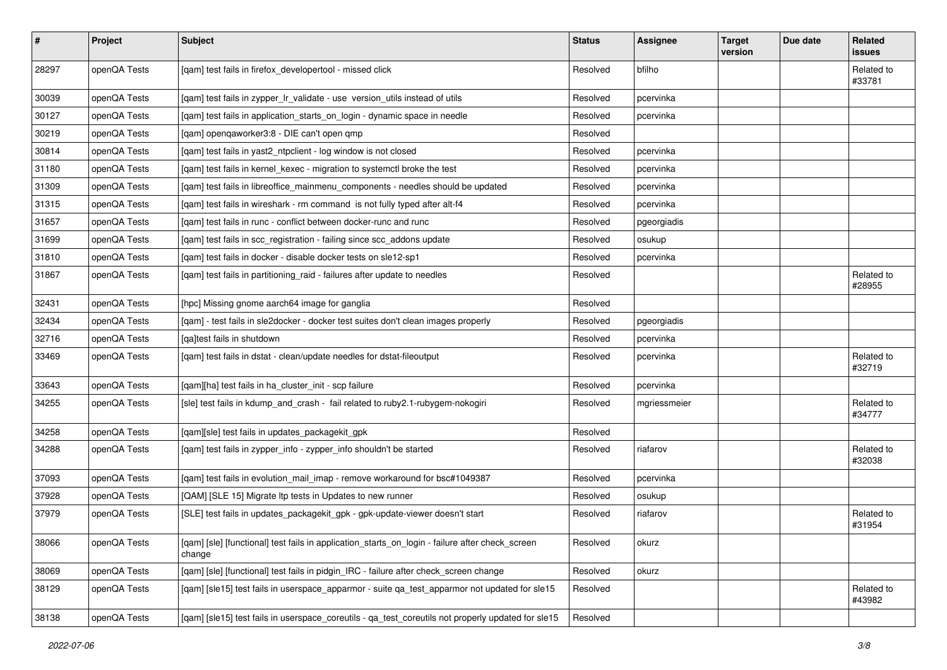| $\vert$ # | Project      | Subject                                                                                                   | <b>Status</b> | Assignee     | <b>Target</b><br>version | Due date | Related<br>issues    |
|-----------|--------------|-----------------------------------------------------------------------------------------------------------|---------------|--------------|--------------------------|----------|----------------------|
| 28297     | openQA Tests | [qam] test fails in firefox_developertool - missed click                                                  | Resolved      | bfilho       |                          |          | Related to<br>#33781 |
| 30039     | openQA Tests | [qam] test fails in zypper_lr_validate - use version_utils instead of utils                               | Resolved      | pcervinka    |                          |          |                      |
| 30127     | openQA Tests | [qam] test fails in application_starts_on_login - dynamic space in needle                                 | Resolved      | pcervinka    |                          |          |                      |
| 30219     | openQA Tests | [gam] opengaworker3:8 - DIE can't open gmp                                                                | Resolved      |              |                          |          |                      |
| 30814     | openQA Tests | [qam] test fails in yast2_ntpclient - log window is not closed                                            | Resolved      | pcervinka    |                          |          |                      |
| 31180     | openQA Tests | [qam] test fails in kernel_kexec - migration to systemctl broke the test                                  | Resolved      | pcervinka    |                          |          |                      |
| 31309     | openQA Tests | [gam] test fails in libreoffice mainmenu components - needles should be updated                           | Resolved      | pcervinka    |                          |          |                      |
| 31315     | openQA Tests | [qam] test fails in wireshark - rm command is not fully typed after alt-f4                                | Resolved      | pcervinka    |                          |          |                      |
| 31657     | openQA Tests | [gam] test fails in runc - conflict between docker-runc and runc                                          | Resolved      | pgeorgiadis  |                          |          |                      |
| 31699     | openQA Tests | [qam] test fails in scc_registration - failing since scc_addons update                                    | Resolved      | osukup       |                          |          |                      |
| 31810     | openQA Tests | [qam] test fails in docker - disable docker tests on sle12-sp1                                            | Resolved      | pcervinka    |                          |          |                      |
| 31867     | openQA Tests | [qam] test fails in partitioning_raid - failures after update to needles                                  | Resolved      |              |                          |          | Related to<br>#28955 |
| 32431     | openQA Tests | [hpc] Missing gnome aarch64 image for ganglia                                                             | Resolved      |              |                          |          |                      |
| 32434     | openQA Tests | [qam] - test fails in sle2docker - docker test suites don't clean images properly                         | Resolved      | pgeorgiadis  |                          |          |                      |
| 32716     | openQA Tests | [qa]test fails in shutdown                                                                                | Resolved      | pcervinka    |                          |          |                      |
| 33469     | openQA Tests | [qam] test fails in dstat - clean/update needles for dstat-fileoutput                                     | Resolved      | pcervinka    |                          |          | Related to<br>#32719 |
| 33643     | openQA Tests | [qam][ha] test fails in ha_cluster_init - scp failure                                                     | Resolved      | pcervinka    |                          |          |                      |
| 34255     | openQA Tests | [sle] test fails in kdump_and_crash - fail related to ruby2.1-rubygem-nokogiri                            | Resolved      | mgriessmeier |                          |          | Related to<br>#34777 |
| 34258     | openQA Tests | [qam][sle] test fails in updates_packagekit_gpk                                                           | Resolved      |              |                          |          |                      |
| 34288     | openQA Tests | [qam] test fails in zypper_info - zypper_info shouldn't be started                                        | Resolved      | riafarov     |                          |          | Related to<br>#32038 |
| 37093     | openQA Tests | [qam] test fails in evolution_mail_imap - remove workaround for bsc#1049387                               | Resolved      | pcervinka    |                          |          |                      |
| 37928     | openQA Tests | [QAM] [SLE 15] Migrate Itp tests in Updates to new runner                                                 | Resolved      | osukup       |                          |          |                      |
| 37979     | openQA Tests | [SLE] test fails in updates_packagekit_gpk - gpk-update-viewer doesn't start                              | Resolved      | riafarov     |                          |          | Related to<br>#31954 |
| 38066     | openQA Tests | [qam] [sle] [functional] test fails in application_starts_on_login - failure after check_screen<br>change | Resolved      | okurz        |                          |          |                      |
| 38069     | openQA Tests | [qam] [sle] [functional] test fails in pidgin_IRC - failure after check_screen change                     | Resolved      | okurz        |                          |          |                      |
| 38129     | openQA Tests | [gam] [sle15] test fails in userspace apparmor - suite ga test apparmor not updated for sle15             | Resolved      |              |                          |          | Related to<br>#43982 |
| 38138     | openQA Tests | [qam] [sle15] test fails in userspace_coreutils - qa_test_coreutils not properly updated for sle15        | Resolved      |              |                          |          |                      |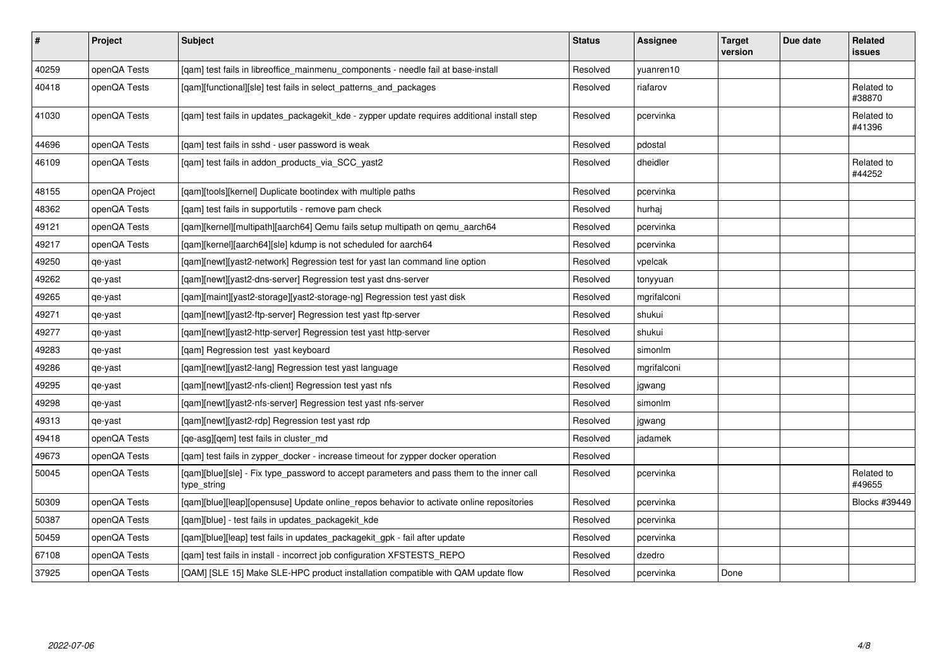| #     | Project        | <b>Subject</b>                                                                                           | <b>Status</b> | <b>Assignee</b> | <b>Target</b><br>version | Due date | <b>Related</b><br>issues |
|-------|----------------|----------------------------------------------------------------------------------------------------------|---------------|-----------------|--------------------------|----------|--------------------------|
| 40259 | openQA Tests   | [qam] test fails in libreoffice_mainmenu_components - needle fail at base-install                        | Resolved      | vuanren10       |                          |          |                          |
| 40418 | openQA Tests   | [qam][functional][sle] test fails in select_patterns_and_packages                                        | Resolved      | riafarov        |                          |          | Related to<br>#38870     |
| 41030 | openQA Tests   | [qam] test fails in updates_packagekit_kde - zypper update requires additional install step              | Resolved      | pcervinka       |                          |          | Related to<br>#41396     |
| 44696 | openQA Tests   | [qam] test fails in sshd - user password is weak                                                         | Resolved      | pdostal         |                          |          |                          |
| 46109 | openQA Tests   | [qam] test fails in addon_products_via_SCC_yast2                                                         | Resolved      | dheidler        |                          |          | Related to<br>#44252     |
| 48155 | openQA Project | [qam][tools][kernel] Duplicate bootindex with multiple paths                                             | Resolved      | pcervinka       |                          |          |                          |
| 48362 | openQA Tests   | [qam] test fails in supportutils - remove pam check                                                      | Resolved      | hurhaj          |                          |          |                          |
| 49121 | openQA Tests   | [qam][kernel][multipath][aarch64] Qemu fails setup multipath on qemu_aarch64                             | Resolved      | pcervinka       |                          |          |                          |
| 49217 | openQA Tests   | [qam][kernel][aarch64][sle] kdump is not scheduled for aarch64                                           | Resolved      | pcervinka       |                          |          |                          |
| 49250 | qe-yast        | [gam][newt][yast2-network] Regression test for yast lan command line option                              | Resolved      | vpelcak         |                          |          |                          |
| 49262 | qe-yast        | [qam][newt][yast2-dns-server] Regression test yast dns-server                                            | Resolved      | tonyyuan        |                          |          |                          |
| 49265 | qe-yast        | [qam][maint][yast2-storage][yast2-storage-ng] Regression test yast disk                                  | Resolved      | mgrifalconi     |                          |          |                          |
| 49271 | qe-yast        | [qam][newt][yast2-ftp-server] Regression test yast ftp-server                                            | Resolved      | shukui          |                          |          |                          |
| 49277 | qe-yast        | [gam][newt][yast2-http-server] Regression test yast http-server                                          | Resolved      | shukui          |                          |          |                          |
| 49283 | qe-yast        | [qam] Regression test yast keyboard                                                                      | Resolved      | simonlm         |                          |          |                          |
| 49286 | qe-yast        | [qam][newt][yast2-lang] Regression test yast language                                                    | Resolved      | mgrifalconi     |                          |          |                          |
| 49295 | qe-yast        | [gam][newt][yast2-nfs-client] Regression test yast nfs                                                   | Resolved      | jgwang          |                          |          |                          |
| 49298 | qe-yast        | [qam][newt][yast2-nfs-server] Regression test yast nfs-server                                            | Resolved      | simonlm         |                          |          |                          |
| 49313 | qe-yast        | [qam][newt][yast2-rdp] Regression test yast rdp                                                          | Resolved      | jgwang          |                          |          |                          |
| 49418 | openQA Tests   | [ge-asg][gem] test fails in cluster md                                                                   | Resolved      | jadamek         |                          |          |                          |
| 49673 | openQA Tests   | [qam] test fails in zypper_docker - increase timeout for zypper docker operation                         | Resolved      |                 |                          |          |                          |
| 50045 | openQA Tests   | [gam][blue][sle] - Fix type password to accept parameters and pass them to the inner call<br>type_string | Resolved      | pcervinka       |                          |          | Related to<br>#49655     |
| 50309 | openQA Tests   | [gam][blue][leap][opensuse] Update online_repos behavior to activate online repositories                 | Resolved      | pcervinka       |                          |          | Blocks #39449            |
| 50387 | openQA Tests   | [qam][blue] - test fails in updates_packagekit_kde                                                       | Resolved      | pcervinka       |                          |          |                          |
| 50459 | openQA Tests   | [qam][blue][leap] test fails in updates_packagekit_gpk - fail after update                               | Resolved      | pcervinka       |                          |          |                          |
| 67108 | openQA Tests   | [qam] test fails in install - incorrect job configuration XFSTESTS_REPO                                  | Resolved      | dzedro          |                          |          |                          |
| 37925 | openQA Tests   | [QAM] [SLE 15] Make SLE-HPC product installation compatible with QAM update flow                         | Resolved      | pcervinka       | Done                     |          |                          |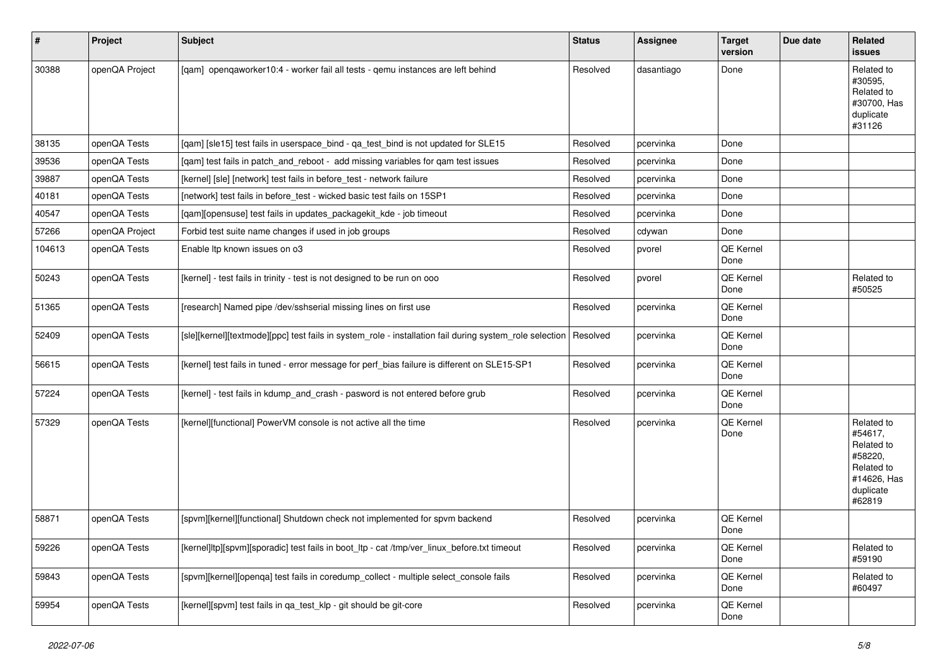| $\vert$ # | Project        | <b>Subject</b>                                                                                          | <b>Status</b> | <b>Assignee</b> | <b>Target</b><br>version | Due date | Related<br>issues                                                                                  |
|-----------|----------------|---------------------------------------------------------------------------------------------------------|---------------|-----------------|--------------------------|----------|----------------------------------------------------------------------------------------------------|
| 30388     | openQA Project | [qam] openqaworker10:4 - worker fail all tests - qemu instances are left behind                         | Resolved      | dasantiago      | Done                     |          | Related to<br>#30595,<br>Related to<br>#30700, Has<br>duplicate<br>#31126                          |
| 38135     | openQA Tests   | [qam] [sle15] test fails in userspace_bind - qa_test_bind is not updated for SLE15                      | Resolved      | pcervinka       | Done                     |          |                                                                                                    |
| 39536     | openQA Tests   | [qam] test fails in patch_and_reboot - add missing variables for qam test issues                        | Resolved      | pcervinka       | Done                     |          |                                                                                                    |
| 39887     | openQA Tests   | [kernel] [sle] [network] test fails in before_test - network failure                                    | Resolved      | pcervinka       | Done                     |          |                                                                                                    |
| 40181     | openQA Tests   | [network] test fails in before test - wicked basic test fails on 15SP1                                  | Resolved      | pcervinka       | Done                     |          |                                                                                                    |
| 40547     | openQA Tests   | [qam][opensuse] test fails in updates_packagekit_kde - job timeout                                      | Resolved      | pcervinka       | Done                     |          |                                                                                                    |
| 57266     | openQA Project | Forbid test suite name changes if used in job groups                                                    | Resolved      | cdywan          | Done                     |          |                                                                                                    |
| 104613    | openQA Tests   | Enable Itp known issues on o3                                                                           | Resolved      | pvorel          | QE Kernel<br>Done        |          |                                                                                                    |
| 50243     | openQA Tests   | [kernel] - test fails in trinity - test is not designed to be run on ooo                                | Resolved      | pvorel          | QE Kernel<br>Done        |          | Related to<br>#50525                                                                               |
| 51365     | openQA Tests   | [research] Named pipe /dev/sshserial missing lines on first use                                         | Resolved      | pcervinka       | QE Kernel<br>Done        |          |                                                                                                    |
| 52409     | openQA Tests   | [sle][kernel][textmode][ppc] test fails in system_role - installation fail during system_role selection | Resolved      | pcervinka       | QE Kernel<br>Done        |          |                                                                                                    |
| 56615     | openQA Tests   | [kernel] test fails in tuned - error message for perf_bias failure is different on SLE15-SP1            | Resolved      | pcervinka       | QE Kernel<br>Done        |          |                                                                                                    |
| 57224     | openQA Tests   | [kernel] - test fails in kdump_and_crash - pasword is not entered before grub                           | Resolved      | pcervinka       | QE Kernel<br>Done        |          |                                                                                                    |
| 57329     | openQA Tests   | [kernel][functional] PowerVM console is not active all the time                                         | Resolved      | pcervinka       | <b>QE Kernel</b><br>Done |          | Related to<br>#54617,<br>Related to<br>#58220,<br>Related to<br>#14626, Has<br>duplicate<br>#62819 |
| 58871     | openQA Tests   | [spvm][kernel][functional] Shutdown check not implemented for spvm backend                              | Resolved      | pcervinka       | QE Kernel<br>Done        |          |                                                                                                    |
| 59226     | openQA Tests   | [kernel]ltp][spvm][sporadic] test fails in boot_ltp - cat /tmp/ver_linux_before.txt timeout             | Resolved      | pcervinka       | QE Kernel<br>Done        |          | Related to<br>#59190                                                                               |
| 59843     | openQA Tests   | [spvm][kernel][openqa] test fails in coredump_collect - multiple select_console fails                   | Resolved      | pcervinka       | QE Kernel<br>Done        |          | Related to<br>#60497                                                                               |
| 59954     | openQA Tests   | [kernel][spvm] test fails in ga test klp - git should be git-core                                       | Resolved      | pcervinka       | QE Kernel<br>Done        |          |                                                                                                    |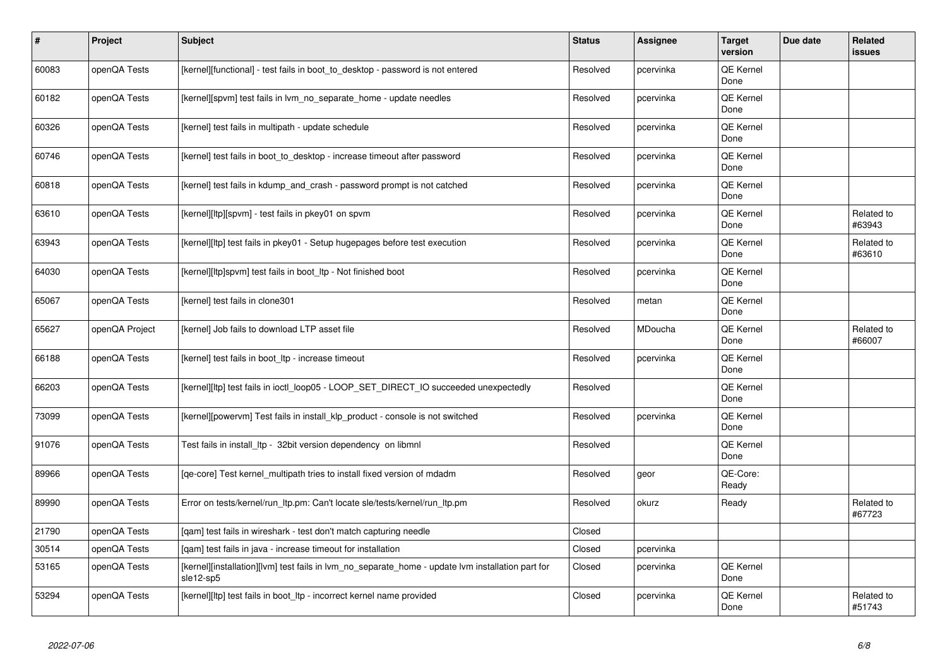| $\sharp$ | Project        | Subject                                                                                                        | <b>Status</b> | Assignee  | <b>Target</b><br>version | Due date | <b>Related</b><br><b>issues</b> |
|----------|----------------|----------------------------------------------------------------------------------------------------------------|---------------|-----------|--------------------------|----------|---------------------------------|
| 60083    | openQA Tests   | [kernel][functional] - test fails in boot to desktop - password is not entered                                 | Resolved      | pcervinka | <b>QE Kernel</b><br>Done |          |                                 |
| 60182    | openQA Tests   | [kernel][spvm] test fails in lvm no separate home - update needles                                             | Resolved      | pcervinka | QE Kernel<br>Done        |          |                                 |
| 60326    | openQA Tests   | [kernel] test fails in multipath - update schedule                                                             | Resolved      | pcervinka | QE Kernel<br>Done        |          |                                 |
| 60746    | openQA Tests   | [kernel] test fails in boot_to_desktop - increase timeout after password                                       | Resolved      | pcervinka | <b>QE Kernel</b><br>Done |          |                                 |
| 60818    | openQA Tests   | [kernel] test fails in kdump_and_crash - password prompt is not catched                                        | Resolved      | pcervinka | <b>QE Kernel</b><br>Done |          |                                 |
| 63610    | openQA Tests   | [kernel][ltp][spvm] - test fails in pkey01 on spvm                                                             | Resolved      | pcervinka | QE Kernel<br>Done        |          | Related to<br>#63943            |
| 63943    | openQA Tests   | [kernel][ltp] test fails in pkey01 - Setup hugepages before test execution                                     | Resolved      | pcervinka | QE Kernel<br>Done        |          | Related to<br>#63610            |
| 64030    | openQA Tests   | [kernel][ltp]spvm] test fails in boot_ltp - Not finished boot                                                  | Resolved      | pcervinka | <b>QE Kernel</b><br>Done |          |                                 |
| 65067    | openQA Tests   | [kernel] test fails in clone301                                                                                | Resolved      | metan     | QE Kernel<br>Done        |          |                                 |
| 65627    | openQA Project | [kernel] Job fails to download LTP asset file                                                                  | Resolved      | MDoucha   | QE Kernel<br>Done        |          | Related to<br>#66007            |
| 66188    | openQA Tests   | [kernel] test fails in boot Itp - increase timeout                                                             | Resolved      | pcervinka | <b>QE Kernel</b><br>Done |          |                                 |
| 66203    | openQA Tests   | [kernel][ltp] test fails in ioctl_loop05 - LOOP_SET_DIRECT_IO succeeded unexpectedly                           | Resolved      |           | <b>QE Kernel</b><br>Done |          |                                 |
| 73099    | openQA Tests   | [kernel][powervm] Test fails in install_klp_product - console is not switched                                  | Resolved      | pcervinka | QE Kernel<br>Done        |          |                                 |
| 91076    | openQA Tests   | Test fails in install_ltp - 32bit version dependency on libmnl                                                 | Resolved      |           | QE Kernel<br>Done        |          |                                 |
| 89966    | openQA Tests   | [ge-core] Test kernel multipath tries to install fixed version of mdadm                                        | Resolved      | geor      | QE-Core:<br>Ready        |          |                                 |
| 89990    | openQA Tests   | Error on tests/kernel/run ltp.pm: Can't locate sle/tests/kernel/run ltp.pm                                     | Resolved      | okurz     | Ready                    |          | Related to<br>#67723            |
| 21790    | openQA Tests   | [gam] test fails in wireshark - test don't match capturing needle                                              | Closed        |           |                          |          |                                 |
| 30514    | openQA Tests   | [qam] test fails in java - increase timeout for installation                                                   | Closed        | pcervinka |                          |          |                                 |
| 53165    | openQA Tests   | [kernel][installation][lvm] test fails in lvm_no_separate_home - update lvm installation part for<br>sle12-sp5 | Closed        | pcervinka | <b>QE Kernel</b><br>Done |          |                                 |
| 53294    | openQA Tests   | [kernel][ltp] test fails in boot_ltp - incorrect kernel name provided                                          | Closed        | pcervinka | QE Kernel<br>Done        |          | Related to<br>#51743            |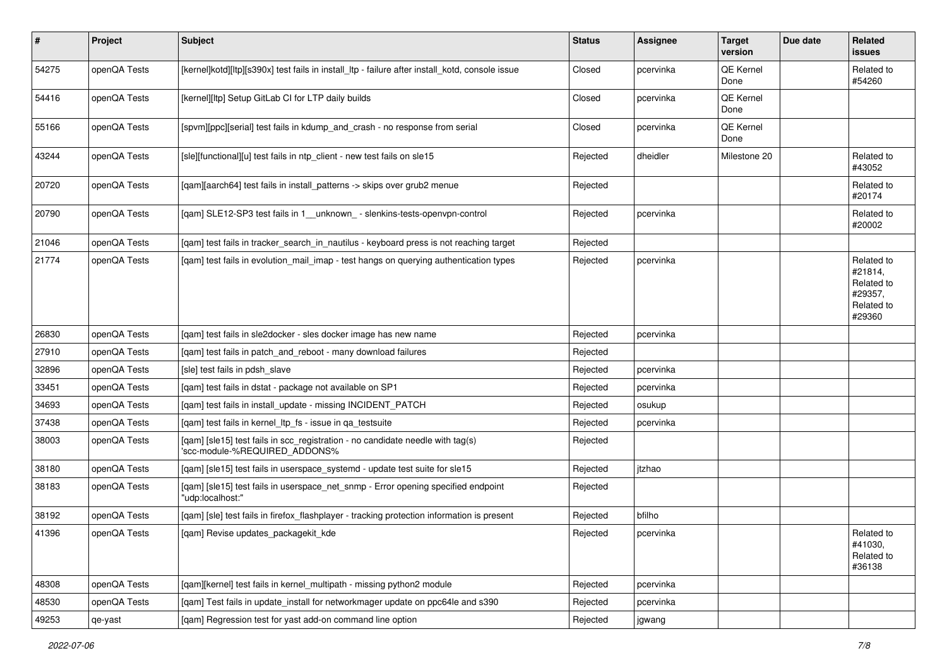| $\sharp$ | Project      | <b>Subject</b>                                                                                                  | <b>Status</b> | Assignee  | <b>Target</b><br>version | Due date | Related<br>issues                                                      |
|----------|--------------|-----------------------------------------------------------------------------------------------------------------|---------------|-----------|--------------------------|----------|------------------------------------------------------------------------|
| 54275    | openQA Tests | [kernel]kotd][ltp][s390x] test fails in install_ltp - failure after install_kotd, console issue                 | Closed        | pcervinka | QE Kernel<br>Done        |          | Related to<br>#54260                                                   |
| 54416    | openQA Tests | [kernel][ltp] Setup GitLab CI for LTP daily builds                                                              | Closed        | pcervinka | QE Kernel<br>Done        |          |                                                                        |
| 55166    | openQA Tests | [spvm][ppc][serial] test fails in kdump_and_crash - no response from serial                                     | Closed        | pcervinka | QE Kernel<br>Done        |          |                                                                        |
| 43244    | openQA Tests | [sle][functional][u] test fails in ntp_client - new test fails on sle15                                         | Rejected      | dheidler  | Milestone 20             |          | Related to<br>#43052                                                   |
| 20720    | openQA Tests | [gam][aarch64] test fails in install patterns -> skips over grub2 menue                                         | Rejected      |           |                          |          | Related to<br>#20174                                                   |
| 20790    | openQA Tests | [qam] SLE12-SP3 test fails in 1_unknown_ - slenkins-tests-openvpn-control                                       | Rejected      | pcervinka |                          |          | Related to<br>#20002                                                   |
| 21046    | openQA Tests | [qam] test fails in tracker_search_in_nautilus - keyboard press is not reaching target                          | Rejected      |           |                          |          |                                                                        |
| 21774    | openQA Tests | [qam] test fails in evolution_mail_imap - test hangs on querying authentication types                           | Rejected      | pcervinka |                          |          | Related to<br>#21814,<br>Related to<br>#29357,<br>Related to<br>#29360 |
| 26830    | openQA Tests | [qam] test fails in sle2docker - sles docker image has new name                                                 | Rejected      | pcervinka |                          |          |                                                                        |
| 27910    | openQA Tests | [qam] test fails in patch_and_reboot - many download failures                                                   | Rejected      |           |                          |          |                                                                        |
| 32896    | openQA Tests | [sle] test fails in pdsh_slave                                                                                  | Rejected      | pcervinka |                          |          |                                                                        |
| 33451    | openQA Tests | [qam] test fails in dstat - package not available on SP1                                                        | Rejected      | pcervinka |                          |          |                                                                        |
| 34693    | openQA Tests | [qam] test fails in install_update - missing INCIDENT_PATCH                                                     | Rejected      | osukup    |                          |          |                                                                        |
| 37438    | openQA Tests | [qam] test fails in kernel_ltp_fs - issue in qa_testsuite                                                       | Rejected      | pcervinka |                          |          |                                                                        |
| 38003    | openQA Tests | [qam] [sle15] test fails in scc_registration - no candidate needle with tag(s)<br>'scc-module-%REQUIRED ADDONS% | Rejected      |           |                          |          |                                                                        |
| 38180    | openQA Tests | [qam] [sle15] test fails in userspace_systemd - update test suite for sle15                                     | Rejected      | jtzhao    |                          |          |                                                                        |
| 38183    | openQA Tests | [qam] [sle15] test fails in userspace_net_snmp - Error opening specified endpoint<br>"udp:localhost:"           | Rejected      |           |                          |          |                                                                        |
| 38192    | openQA Tests | [qam] [sle] test fails in firefox_flashplayer - tracking protection information is present                      | Rejected      | bfilho    |                          |          |                                                                        |
| 41396    | openQA Tests | [qam] Revise updates_packagekit_kde                                                                             | Rejected      | pcervinka |                          |          | Related to<br>#41030,<br>Related to<br>#36138                          |
| 48308    | openQA Tests | [qam][kernel] test fails in kernel_multipath - missing python2 module                                           | Rejected      | pcervinka |                          |          |                                                                        |
| 48530    | openQA Tests | [qam] Test fails in update_install for networkmager update on ppc64le and s390                                  | Rejected      | pcervinka |                          |          |                                                                        |
| 49253    | qe-yast      | [qam] Regression test for yast add-on command line option                                                       | Rejected      | jgwang    |                          |          |                                                                        |